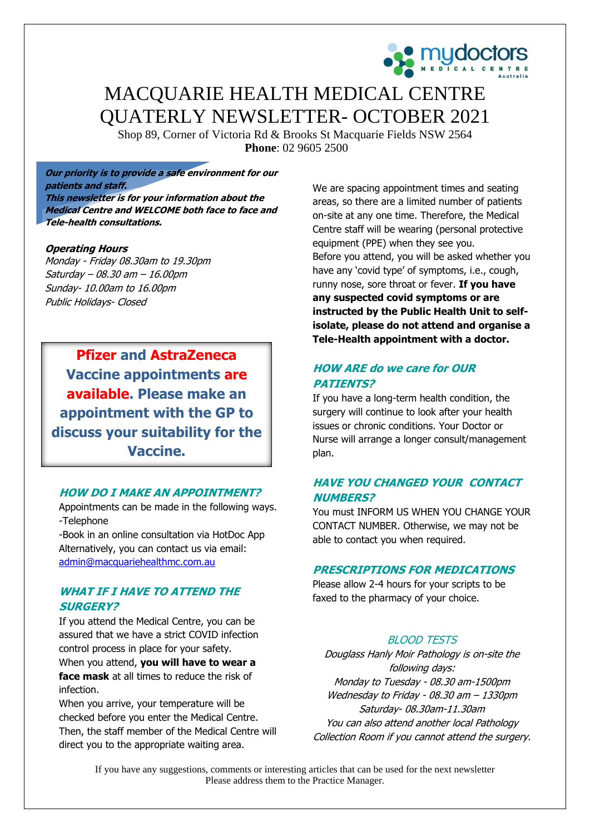

# MACQUARIE HEALTH MEDICAL CENTRE QUATERLY NEWSLETTER- OCTOBER 2021

Shop 89, Corner of Victoria Rd & Brooks St Macquarie Fields NSW 2564 **Phone**: 02 9605 2500

**Our priority is to provide a safe environment for our patients and staff. This newsletter is for your information about the** 

**Medical Centre and WELCOME both face to face and Tele-health consultations.**

#### **Operating Hours**

Monday - Friday 08.30am to 19.30pm Saturday – 08.30 am – 16.00pm Sunday- 10.00am to 16.00pm Public Holidays- Closed

**Pfizer and AstraZeneca Vaccine appointments are available. Please make an appointment with the GP to discuss your suitability for the Vaccine.**

#### **HOW DO I MAKE AN APPOINTMENT?**

Appointments can be made in the following ways. -Telephone

-Book in an online consultation via HotDoc App Alternatively, you can contact us via email: [admin@macquariehealthmc.com.au](mailto:admin@macquariehealthmc.com.au)

### **WHAT IF I HAVE TO ATTEND THE SURGERY?**

If you attend the Medical Centre, you can be assured that we have a strict COVID infection control process in place for your safety. When you attend, **you will have to wear a face mask** at all times to reduce the risk of infection.

When you arrive, your temperature will be checked before you enter the Medical Centre. Then, the staff member of the Medical Centre will direct you to the appropriate waiting area.

We are spacing appointment times and seating areas, so there are a limited number of patients on-site at any one time. Therefore, the Medical Centre staff will be wearing (personal protective equipment (PPE) when they see you. Before you attend, you will be asked whether you have any 'covid type' of symptoms, i.e., cough, runny nose, sore throat or fever. **If you have any suspected covid symptoms or are instructed by the Public Health Unit to selfisolate, please do not attend and organise a Tele-Health appointment with a doctor.**

# **HOW ARE do we care for OUR PATIENTS?**

If you have a long-term health condition, the surgery will continue to look after your health issues or chronic conditions. Your Doctor or Nurse will arrange a longer consult/management plan.

# **HAVE YOU CHANGED YOUR CONTACT NUMBERS?**

You must INFORM US WHEN YOU CHANGE YOUR CONTACT NUMBER. Otherwise, we may not be able to contact you when required.

## **PRESCRIPTIONS FOR MEDICATIONS**

Please allow 2-4 hours for your scripts to be faxed to the pharmacy of your choice.

### BLOOD TESTS

Douglass Hanly Moir Pathology is on-site the following days: Monday to Tuesday - 08.30 am-1500pm Wednesday to Friday - 08.30 am – 1330pm Saturday- 08.30am-11.30am You can also attend another local Pathology Collection Room if you cannot attend the surgery.

If you have any suggestions, comments or interesting articles that can be used for the next newsletter Please address them to the Practice Manager.